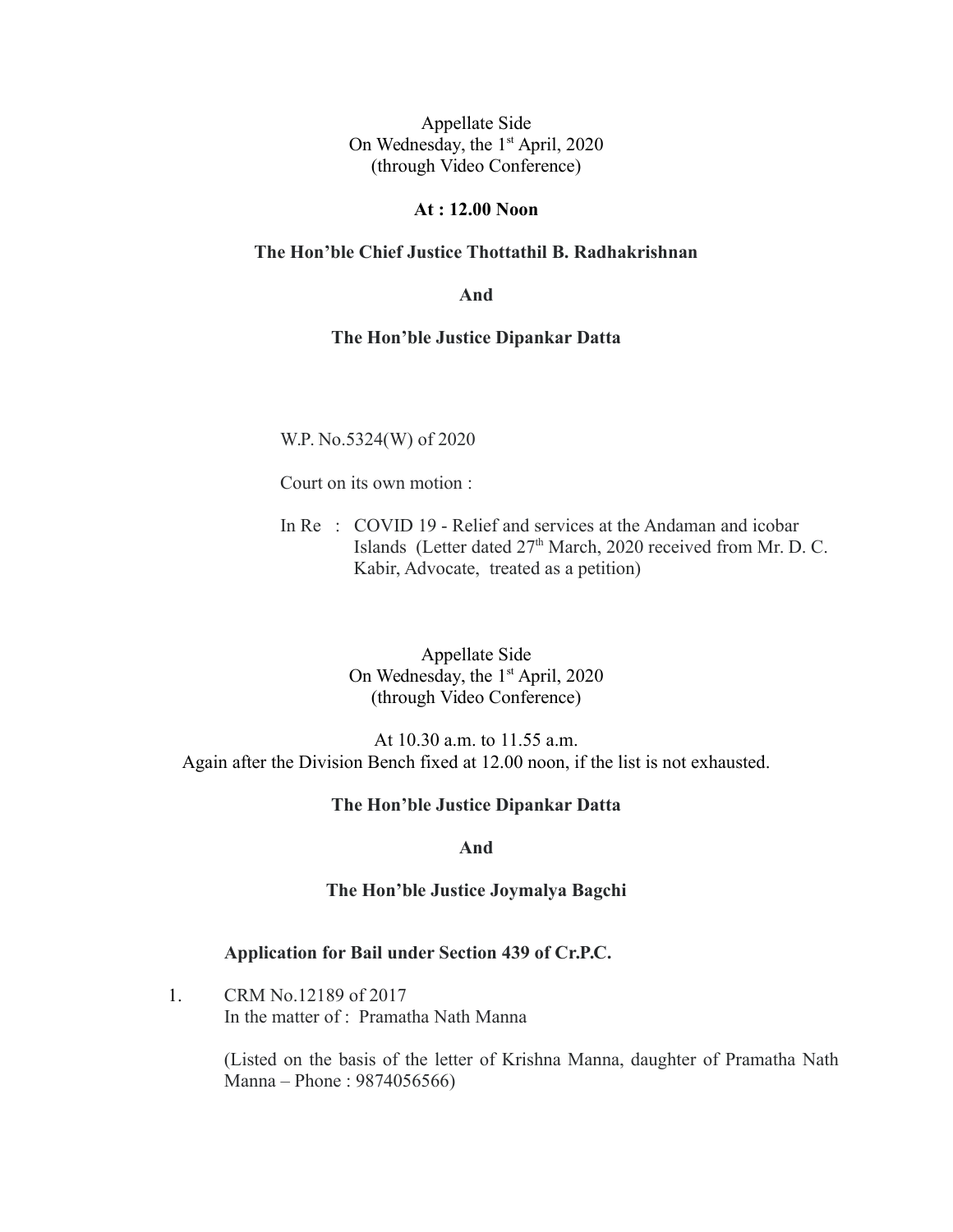Appellate Side On Wednesday, the 1<sup>st</sup> April, 2020 (through Video Conference)

### **At : 12.00 Noon**

# **The Hon'ble Chief Justice Thottathil B. Radhakrishnan**

**And**

## **The Hon'ble Justice Dipankar Datta**

W.P. No.5324(W) of 2020

Court on its own motion :

In Re : COVID 19 - Relief and services at the Andaman and icobar Islands (Letter dated 27<sup>th</sup> March, 2020 received from Mr. D. C. Kabir, Advocate, treated as a petition)

> Appellate Side On Wednesday, the 1<sup>st</sup> April, 2020 (through Video Conference)

At 10.30 a.m. to 11.55 a.m. Again after the Division Bench fixed at 12.00 noon, if the list is not exhausted.

## **The Hon'ble Justice Dipankar Datta**

**And**

#### **The Hon'ble Justice Joymalya Bagchi**

#### **Application for Bail under Section 439 of Cr.P.C.**

1. CRM No.12189 of 2017 In the matter of : Pramatha Nath Manna

> (Listed on the basis of the letter of Krishna Manna, daughter of Pramatha Nath Manna – Phone : 9874056566)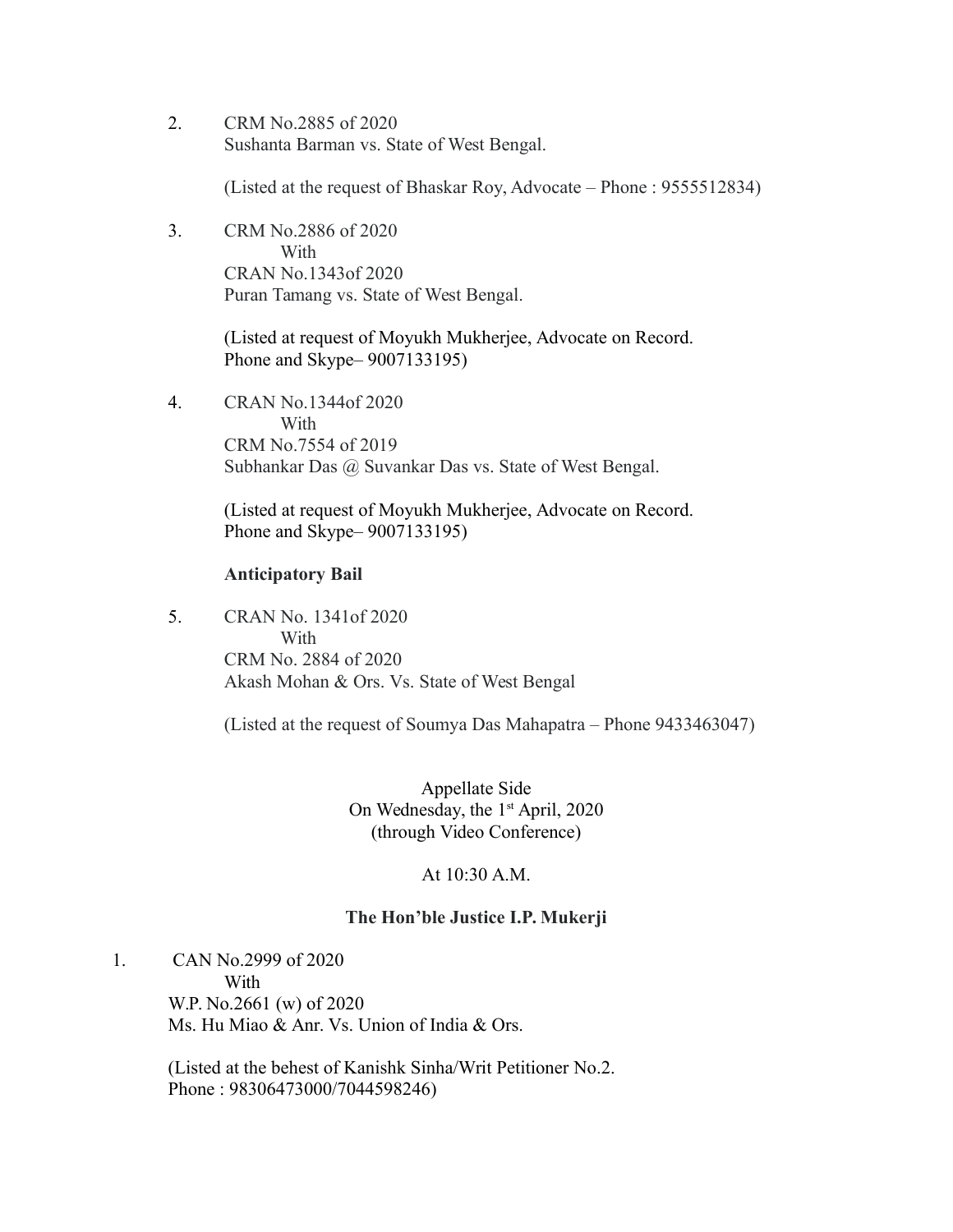2. CRM No.2885 of 2020 Sushanta Barman vs. State of West Bengal.

(Listed at the request of Bhaskar Roy, Advocate – Phone : 9555512834)

3. CRM No.2886 of 2020 **With** CRAN No.1343of 2020 Puran Tamang vs. State of West Bengal.

> (Listed at request of Moyukh Mukherjee, Advocate on Record. Phone and Skype– 9007133195)

4. CRAN No.1344of 2020 **With** CRM No.7554 of 2019 Subhankar Das @ Suvankar Das vs. State of West Bengal.

> (Listed at request of Moyukh Mukherjee, Advocate on Record. Phone and Skype– 9007133195)

# **Anticipatory Bail**

5. CRAN No. 1341of 2020 With CRM No. 2884 of 2020 Akash Mohan & Ors. Vs. State of West Bengal

(Listed at the request of Soumya Das Mahapatra – Phone 9433463047)

Appellate Side On Wednesday, the 1<sup>st</sup> April, 2020 (through Video Conference)

# At 10:30 A.M.

## **The Hon'ble Justice I.P. Mukerji**

1. CAN No.2999 of 2020 With W.P. No.2661 (w) of 2020 Ms. Hu Miao & Anr. Vs. Union of India & Ors.

> (Listed at the behest of Kanishk Sinha/Writ Petitioner No.2. Phone : 98306473000/7044598246)